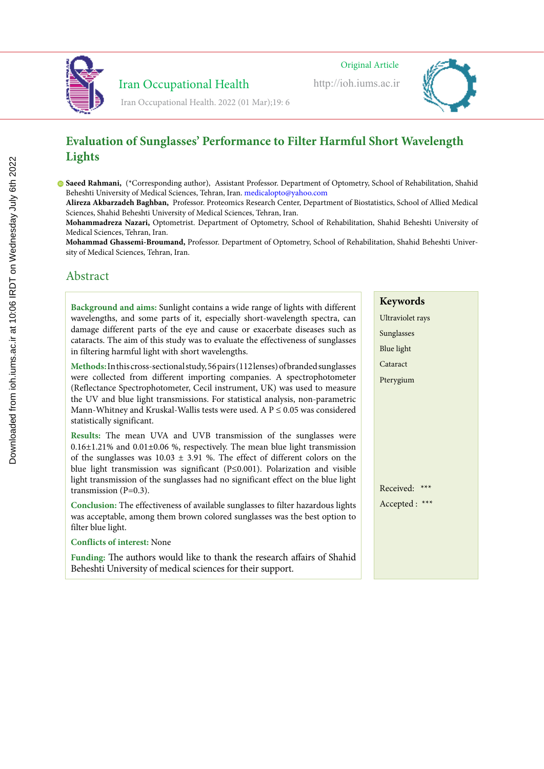

http://ioh.iums.ac.ir



# **Evaluation of Sunglasses' Performance to Filter Harmful Short Wavelength Lights**

**Saeed Rahmani,** (\*Corresponding author), Assistant Professor. Department of Optometry, School of Rehabilitation, Shahid Beheshti University of Medical Sciences, Tehran, Iran. medicalopto@yahoo.com

**Alireza Akbarzadeh Baghban,** Professor. Proteomics Research Center, Department of Biostatistics, School of Allied Medical Sciences, Shahid Beheshti University of Medical Sciences, Tehran, Iran.

**Mohammadreza Nazari,** Optometrist. Department of Optometry, School of Rehabilitation, Shahid Beheshti University of Medical Sciences, Tehran, Iran.

**Mohammad Ghassemi-Broumand,** Professor. Department of Optometry, School of Rehabilitation, Shahid Beheshti University of Medical Sciences, Tehran, Iran.

# Abstract

**Background and aims:** Sunlight contains a wide range of lights with different wavelengths, and some parts of it, especially short-wavelength spectra, can damage different parts of the eye and cause or exacerbate diseases such as cataracts. The aim of this study was to evaluate the effectiveness of sunglasses in filtering harmful light with short wavelengths.

Iran Occupational Health

Iran Occupational Health. 2022 (01 Mar);19: 6

**Methods:**In this cross-sectional study, 56 pairs (112 lenses) of branded sunglasses were collected from different importing companies. A spectrophotometer (Reflectance Spectrophotometer, Cecil instrument, UK) was used to measure the UV and blue light transmissions. For statistical analysis, non-parametric Mann-Whitney and Kruskal-Wallis tests were used. A  $P \le 0.05$  was considered statistically significant.

**Results:** The mean UVA and UVB transmission of the sunglasses were  $0.16\pm1.21\%$  and  $0.01\pm0.06\%$ , respectively. The mean blue light transmission of the sunglasses was  $10.03 \pm 3.91$  %. The effect of different colors on the blue light transmission was significant (P≤0.001). Polarization and visible light transmission of the sunglasses had no significant effect on the blue light transmission (P=0.3).

**Conclusion:** The effectiveness of available sunglasses to filter hazardous lights was acceptable, among them brown colored sunglasses was the best option to filter blue light.

### **Conflicts of interest:** None

**Funding:** The authors would like to thank the research affairs of Shahid Beheshti University of medical sciences for their support.

**Keywords** Ultraviolet rays

Sunglasses Blue light Cataract Pterygium

Received: \*\*\* Accepted : \*\*\*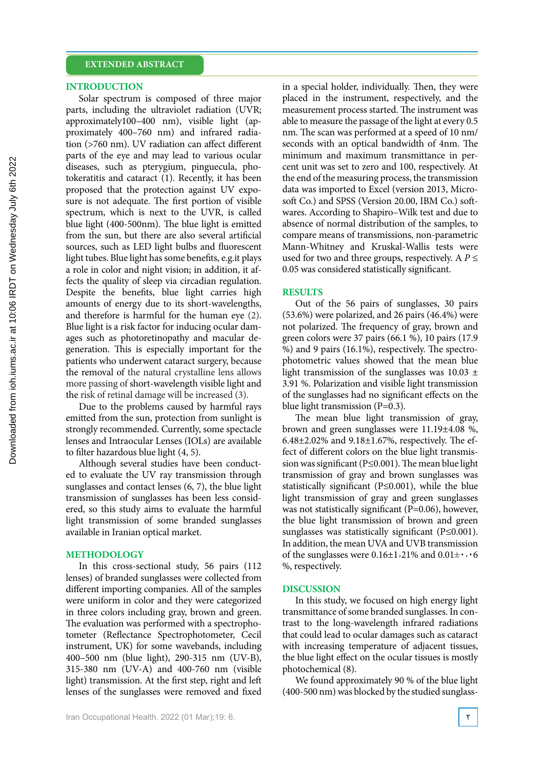#### **INTRODUCTION**

Solar spectrum is composed of three major parts, including the ultraviolet radiation (UVR; approximately100–400 nm), visible light (approximately 400–760 nm) and infrared radiation (>760 nm). UV radiation can affect different parts of the eye and may lead to various ocular diseases, such as pterygium, pinguecula, photokeratitis and cataract (1). Recently, it has been proposed that the protection against UV exposure is not adequate. The first portion of visible spectrum, which is next to the UVR, is called blue light (400-500nm). The blue light is emitted from the sun, but there are also several artificial sources, such as LED light bulbs and fluorescent light tubes. Blue light has some benefits, e.g.it plays a role in color and night vision; in addition, it affects the quality of sleep via circadian regulation. Despite the benefits, blue light carries high amounts of energy due to its short-wavelengths, and therefore is harmful for the human eye (2). Blue light is a risk factor for inducing ocular damages such as photoretinopathy and macular degeneration. This is especially important for the patients who underwent cataract surgery, because the removal of the natural crystalline lens allows more passing of short-wavelength visible light and the risk of retinal damage will be increased (3).

Due to the problems caused by harmful rays emitted from the sun, protection from sunlight is strongly recommended. Currently, some spectacle lenses and Intraocular Lenses (IOLs) are available to filter hazardous blue light (4, 5).

Although several studies have been conducted to evaluate the UV ray transmission through sunglasses and contact lenses (6, 7), the blue light transmission of sunglasses has been less considered, so this study aims to evaluate the harmful light transmission of some branded sunglasses available in Iranian optical market.

#### **METHODOLOGY**

In this cross-sectional study, 56 pairs (112 lenses) of branded sunglasses were collected from different importing companies. All of the samples were uniform in color and they were categorized in three colors including gray, brown and green. The evaluation was performed with a spectrophotometer (Reflectance Spectrophotometer, Cecil instrument, UK) for some wavebands, including 400–500 nm (blue light), 290-315 nm (UV-B), 315-380 nm (UV-A) and 400-760 nm (visible light) transmission. At the first step, right and left lenses of the sunglasses were removed and fixed in a special holder, individually. Then, they were placed in the instrument, respectively, and the measurement process started. The instrument was able to measure the passage of the light at every 0.5 nm. The scan was performed at a speed of 10 nm/ seconds with an optical bandwidth of 4nm. The minimum and maximum transmittance in percent unit was set to zero and 100, respectively. At the end of the measuring process, the transmission data was imported to Excel (version 2013, Microsoft Co.) and SPSS (Version 20.00, IBM Co.) softwares. According to Shapiro–Wilk test and due to absence of normal distribution of the samples, to compare means of transmissions, non-parametric Mann-Whitney and Kruskal-Wallis tests were used for two and three groups, respectively. A  $P \leq$ 0.05 was considered statistically significant.

#### **RESULTS**

Out of the 56 pairs of sunglasses, 30 pairs (53.6%) were polarized, and 26 pairs (46.4%) were not polarized. The frequency of gray, brown and green colors were 37 pairs (66.1 %), 10 pairs (17.9 %) and 9 pairs (16.1%), respectively. The spectrophotometric values showed that the mean blue light transmission of the sunglasses was  $10.03 \pm$ 3.91 %. Polarization and visible light transmission of the sunglasses had no significant effects on the blue light transmission (P=0.3).

The mean blue light transmission of gray, brown and green sunglasses were 11.19±4.08 %, 6.48±2.02% and 9.18±1.67%, respectively. The effect of different colors on the blue light transmission was significant (P≤0.001). The mean blue light transmission of gray and brown sunglasses was statistically significant (P≤0.001), while the blue light transmission of gray and green sunglasses was not statistically significant  $(P=0.06)$ , however, the blue light transmission of brown and green sunglasses was statistically significant (P≤0.001). In addition, the mean UVA and UVB transmission of the sunglasses were  $0.16\pm1.21\%$  and  $0.01\pm\cdot.06$ %, respectively.

#### **DISCUSSION**

In this study, we focused on high energy light transmittance of some branded sunglasses. In contrast to the long-wavelength infrared radiations that could lead to ocular damages such as cataract with increasing temperature of adjacent tissues, the blue light effect on the ocular tissues is mostly photochemical (8).

We found approximately 90 % of the blue light (400-500 nm) was blocked by the studied sunglass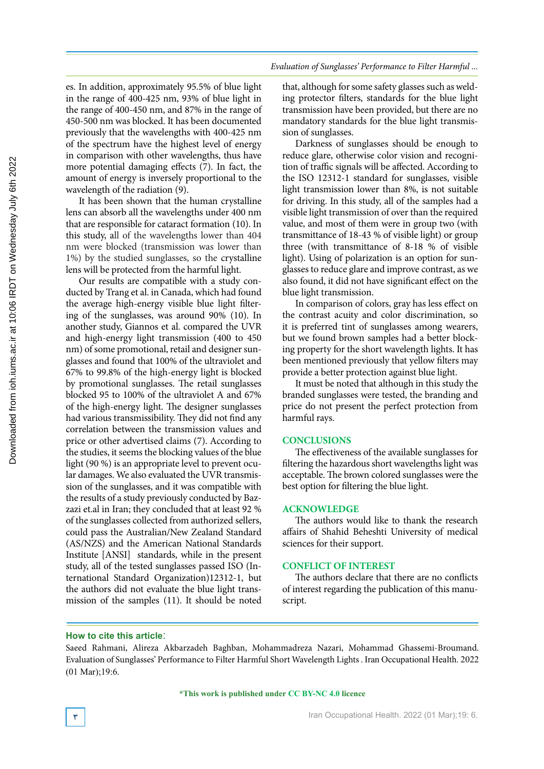es. In addition, approximately 95.5% of blue light in the range of 400-425 nm, 93% of blue light in the range of 400-450 nm, and 87% in the range of 450-500 nm was blocked. It has been documented previously that the wavelengths with 400-425 nm of the spectrum have the highest level of energy in comparison with other wavelengths, thus have more potential damaging effects (7). In fact, the amount of energy is inversely proportional to the wavelength of the radiation (9).

It has been shown that the human crystalline lens can absorb all the wavelengths under 400 nm that are responsible for cataract formation (10). In this study, all of the wavelengths lower than 404 nm were blocked (transmission was lower than 1%) by the studied sunglasses, so the crystalline lens will be protected from the harmful light.

Our results are compatible with a study conducted by Trang et al. in Canada, which had found the average high-energy visible blue light filtering of the sunglasses, was around 90% (10). In another study, Giannos et al. compared the UVR and high-energy light transmission (400 to 450 nm) of some promotional, retail and designer sunglasses and found that 100% of the ultraviolet and 67% to 99.8% of the high-energy light is blocked by promotional sunglasses. The retail sunglasses blocked 95 to 100% of the ultraviolet A and 67% of the high-energy light. The designer sunglasses had various transmissibility. They did not find any correlation between the transmission values and price or other advertised claims (7). According to the studies, it seems the blocking values of the blue light (90 %) is an appropriate level to prevent ocular damages. We also evaluated the UVR transmission of the sunglasses, and it was compatible with the results of a study previously conducted by Bazzazi et.al in Iran; they concluded that at least 92 % of the sunglasses collected from authorized sellers, could pass the Australian/New Zealand Standard (AS/NZS) and the American National Standards Institute [ANSI] standards, while in the present study, all of the tested sunglasses passed ISO (International Standard Organization)12312-1, but the authors did not evaluate the blue light transmission of the samples (11). It should be noted

that, although for some safety glasses such as welding protector filters, standards for the blue light transmission have been provided, but there are no mandatory standards for the blue light transmission of sunglasses.

Darkness of sunglasses should be enough to reduce glare, otherwise color vision and recognition of traffic signals will be affected. According to the ISO 12312-1 standard for sunglasses, visible light transmission lower than 8%, is not suitable for driving. In this study, all of the samples had a visible light transmission of over than the required value, and most of them were in group two (with transmittance of 18-43 % of visible light) or group three (with transmittance of 8-18 % of visible light). Using of polarization is an option for sunglasses to reduce glare and improve contrast, as we also found, it did not have significant effect on the blue light transmission.

In comparison of colors, gray has less effect on the contrast acuity and color discrimination, so it is preferred tint of sunglasses among wearers, but we found brown samples had a better blocking property for the short wavelength lights. It has been mentioned previously that yellow filters may provide a better protection against blue light.

It must be noted that although in this study the branded sunglasses were tested, the branding and price do not present the perfect protection from harmful rays.

#### **CONCLUSIONS**

The effectiveness of the available sunglasses for filtering the hazardous short wavelengths light was acceptable. The brown colored sunglasses were the best option for filtering the blue light.

## **ACKNOWLEDGE**

The authors would like to thank the research affairs of Shahid Beheshti University of medical sciences for their support.

#### **CONFLICT OF INTEREST**

The authors declare that there are no conflicts of interest regarding the publication of this manuscript.

#### **How to cite this article**:

**\*This work is published under CC BY-NC 4.0 licence**

Saeed Rahmani, Alireza Akbarzadeh Baghban, Mohammadreza Nazari, Mohammad Ghassemi-Broumand. Evaluation of Sunglasses' Performance to Filter Harmful Short Wavelength Lights . Iran Occupational Health. 2022 (01 Mar);19:6.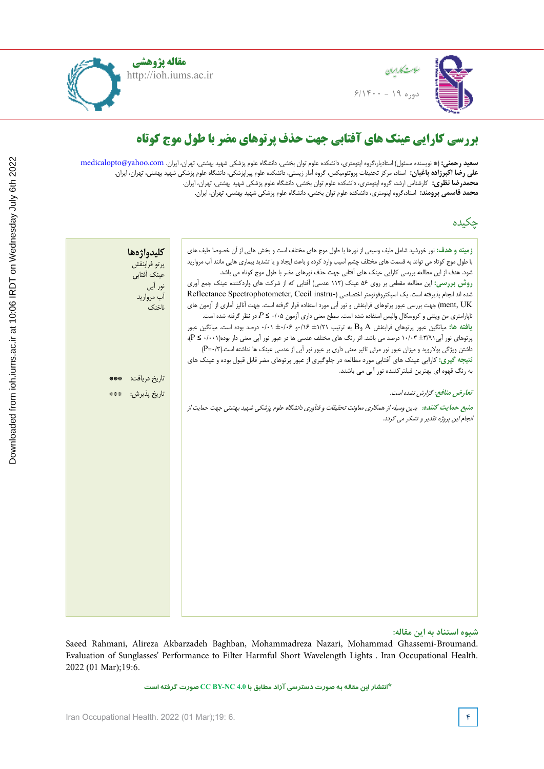

**مقاله پژوهشی**http://ioh.iums.ac.ir



# **بررسی کارایی عینک های آفتابی جهت حذف پرتوهای مضر با طول موج کوتاه**

**سعید رحمنی:** (\* نویسنده مسئول) استادیار،گروه اپتومتری، دانشکده علوم توان بخشی، دانشگاه علوم پزشکی شهید بهشتی، تهران، ایران. medicalopto@yahoo.com **علی رضا اکبرزاده باغبان:** استاد، مرکز تحقیقات پروتئومیکس، گروه آمار زیستی، دانشکده علوم پیراپزشکی، دانشگاه علوم پزشکی شهید بهشتی، تهران، ایران. **محمدرضا نظری:** کارشناس ارشد، گروه اپتومتری، دانشکده علوم توان بخشی، دانشگاه علوم پزشکی شهید بهشتی، تهران، ایران. **محمد قاسمی برومند:** استاد،گروه اپتومتری، دانشکده علوم توان بخشی، دانشگاه علوم پزشکی شهید بهشتی، تهران، ایران.

چکیده

| كليدواژهها<br>پرتو فرابنفش<br>عينك أفتابي<br>نور ابی<br>آب مروارید<br>ناخنک | <b>زمینه و هدف:</b> نور خورشید شامل طیف وسیعی از نورها با طول موج های مختلف است و بخش هایی از اّن خصوصا طیف های<br>با طول موج کوتاه می تواند به قسمت های مختلف چشم آسیب وارد کرده و باعث ایجاد و یا تشدید بیماری هایی مانند آب مروارید<br>شود. هدف از این مطالعه بررسی کارایی عینک های آفتابی جهت حذف نورهای مضر با طول موج کوتاه می باشد.<br>روش بررسی: این مطالعه مقطعی بر روی ۵۶ عینک (۱۱۲ عدسی) آفتابی که از شرکت های واردکننده عینک جمع آوری<br>شده اند انجام پذیرفته است. یک اسپکتروفوتومتر اختصاصی (-Reflectance Spectrophotometer, Cecil instru<br>ment, UK) جهت بررسی عبور پرتوهای فرابنفش و نور آبی مورد استفاده قرار گرفته است. جهت آنالیز آماری از آزمون های<br>ناپارامتری من ویتنی و کروسکال والیس استفاده شده است. سطح معنی داری آزمون ۰/۰۵ ≥ $P$ در نظر گرفته شده است.<br><b>یافته ها:</b> میانگین عبور پرتوهای فرابنفش A وB به ترتیب ۱/۲۱± ۰/۰۶+ ۰/۰+ ± ۰/۰۰ درصد بوده است. میانگین عبور<br>پرتوهای نور آبی <sup>۱</sup> ۰/۹۱ +۱۰/۰۳ درصد می باشد. اثر رنگ های مختلف عدسی ها در عبور نور آبی معنی دار بوده(۰۰۰۱+ ≥ P)،<br>داشتن ویژگی پولاروید و میزان عبور نور مرئی تاثیر معنی داری بر عبور نور آبی از عدسی عینک ها نداشته است.(P=٠/٣)<br><b>نتیجه گیری:</b> کارایی عینک های آفتابی مورد مطالعه در جلوگیری از عبور پرتوهای مضر قابل قبول بوده و عینک های |
|-----------------------------------------------------------------------------|---------------------------------------------------------------------------------------------------------------------------------------------------------------------------------------------------------------------------------------------------------------------------------------------------------------------------------------------------------------------------------------------------------------------------------------------------------------------------------------------------------------------------------------------------------------------------------------------------------------------------------------------------------------------------------------------------------------------------------------------------------------------------------------------------------------------------------------------------------------------------------------------------------------------------------------------------------------------------------------------------------------------------------------------------------------------------------------------------------------------------------------------------------------------------------------------------------------------------------------------------------------------------|
| تاريخ دريافت:<br>***                                                        | به رنگ قهوه ای بهترین فیلتر کننده نور آبی می باشند.                                                                                                                                                                                                                                                                                                                                                                                                                                                                                                                                                                                                                                                                                                                                                                                                                                                                                                                                                                                                                                                                                                                                                                                                                       |
| تاريخ پذيرش:<br>***                                                         | تعارض منافع: گزارش نشده است.<br>منبع حمایت کننده: بدین وسیله از همکاری معاونت تحقیقات و فنآوری دانشگاه علوم پزشکی شهید بهشتی جهت حمایت از<br>انجام این پروژه تقدیر و تشکر می گردد.                                                                                                                                                                                                                                                                                                                                                                                                                                                                                                                                                                                                                                                                                                                                                                                                                                                                                                                                                                                                                                                                                        |
|                                                                             |                                                                                                                                                                                                                                                                                                                                                                                                                                                                                                                                                                                                                                                                                                                                                                                                                                                                                                                                                                                                                                                                                                                                                                                                                                                                           |

**شیوه استناد به این مقاله:**

Saeed Rahmani, Alireza Akbarzadeh Baghban, Mohammadreza Nazari, Mohammad Ghassemi-Broumand. Evaluation of Sunglasses' Performance to Filter Harmful Short Wavelength Lights . Iran Occupational Health. 2022 (01 Mar);19:6.

**\*انتشار این مقاله به صورت دسترسی آزاد مطابق با 4.0 NC-BY CC صورت گرفته است**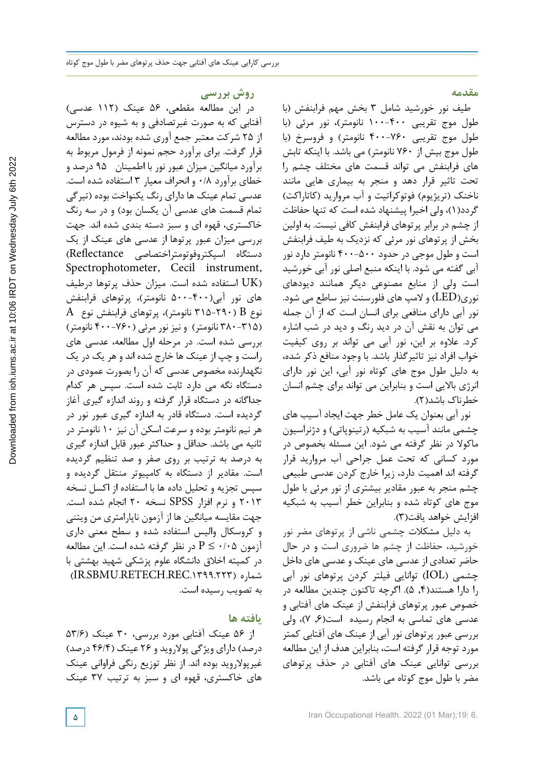**روش بررسی**

در این مطالعه مقطعی، 56 عینک )112 عدسی( آفتابی که به صورت غیرتصادفی و به شیوه در دسترس از 25 شرکت معتبر جمع آوری شده بودند، مورد مطالعه قرار گرفت. برای برآورد حجم نمونه از فرمول مربوط به برآورد میانگین میزان عبور نور با اطمینان 95 درصد و خطای برآورد 0/8 و انحراف معیار 3 استفاده شده است. عدسی تمام عینک ها دارای رنگ یکنواخت بوده )تیرگی تمام قسمت های عدسی آن یکسان بود) و در سه رنگ خاکستری، قهوه ای و سبز دسته بندی شده اند. جهت بررسی میزان عبور پرتوها از عدسی های عینک از یک دستگاه اسپکتروفوتومتراختصاصی Reflectance( Spectrophotometer, Cecil instrument, (UK استفاده شده است. میزان حذف پرتوها درطیف های نور آبی)500-400 نانومتر(، پرتوهای فرابنفش  $\rm A$  نوع  $\rm B$  ( 79۰-7۱۵ نانومتر)، پرتوهای فرابنفش نوع )380-315 نانومتر( و نیز نور مرئی )400-760 نانومتر( بررسی شده است. در مرحله اول مطالعه، عدسی های راست و چپ از عینک ها خارج شده اند و هر یک در یک نگهدارنده مخصوص عدسی که آن را بصورت عمودی در دستگاه نگه می دارد ثابت شده است. سپس هر کدام جداگانه در دستگاه قرار گرفته و روند اندازه گیری آغاز گردیده است. دستگاه قادر به اندازه گیری عبور نور در هر نیم نانومتر بوده و سرعت اسکن آن نیز 10 نانومتر در ثانیه می باشد. حداقل و حداکثر عبور قابل اندازه گیری به درصد به ترتیب بر روی صفر و صد تنظیم گردیده است. مقادیر از دستگاه به کامپیوتر منتقل گردیده و سپس تجزیه و تحلیل داده ها با استفاده از اکسل نسخه 2013 و نرم افزار SPSS نسخه 20 انجام شده است. جهت مقایسه میانگین ها از آزمون ناپارامتری من ویتنی و کروسکال والیس استفاده شده و سطح معنی داری آزمون 0/05 ≥ P در نظر گرفته شده است. این مطالعه در کمیته اخالق دانشگاه علوم پزشکی شهید بهشتی با (IR.SBMU.RETECH.REC.1399.223) شماره به تصویب رسیده است.

## **یافته ها**

از ۵۶ عینک آفتابی مورد بررسی، ۳۰ عینک (۵۳/۶ درصد) دارای ویژگی پولاروید و ۲۶ عینک (۴۶/۴ درصد) غیرپوالروید بوده اند. از نظر توزیع رنگی فراوانی عینک های خاکستری، قهوه ای و سبز به ترتیب 37 عینک **مقدمه**

طیف نور خورشید شامل 3 بخش مهم فرابنفش )با طول موج تقریبی ۴۰۰-۱۰۰ نانومتر)، نور مرئی (با طول موج تقریبی 400-760 نانومتر( و فروسرخ )با طول موج بیش از 760 نانومتر( می باشد. با اینکه تابش های فرابنفش می تواند قسمت های مختلف چشم را تحت تاثیر قرار دهد و منجر به بیماری هایی مانند ناخنک (تریژیوم) فوتوکراتیت و آب مروارید (کاتاراکت) گردد(۱)، ولی اخیرا پیشنهاد شده است که تنها حفاظت از چشم در برابر پرتوهای فرابنفش کافی نیست. به اولین بخش از پرتوهای نور مرئی که نزدیک به طیف فرابنفش است و طول موجی در حدود 400-500 نانومتر دارد نور آبی گفته می شود. با اینکه منبع اصلی نور آبی خورشید است ولی از منابع مصنوعی دیگر همانند دیودهای نوری(LED (و المپ های فلورسنت نیز ساطع می شود. نور آبی دارای منافعی برای انسان است که از آن جمله می توان به نقش آن در دید رنگ و دید در شب اشاره کرد. عالوه بر این، نور آبی می تواند بر روی کیفیت خواب افراد نیز تاثیرگذار باشد. با وجود منافع ذکر شده، به دلیل طول موج های کوتاه نور آبی، این نور دارای انرژی باالیی است و بنابراین می تواند برای چشم انسان خطرناک باشد(۲).

نور آبی بعنوان یک عامل خطر جهت ایجاد آسیب های چشمی مانند آسیب به شبکیه (رتینوپاتی) و دژنراسیون ماکوال در نظر گرفته می شود. این مسئله بخصوص در مورد کسانی که تحت عمل جراحی آب مروارید قرار گرفته اند اهمیت دارد، زیرا خارج کردن عدسی طبیعی چشم منجر به عبور مقادیر بیشتری از نور مرئی با طول موج های کوتاه شده و بنابراین خطر آسیب به شبکیه افزایش خواهد یافت)3(.

به دلیل مشکالت چشمی ناشی از پرتوهای مضر نور خورشید، حفاظت از چشم ها ضروری است و در حال حاضر تعدادی از عدسی های عینک و عدسی های داخل چشمی (IOL (توانایی فیلتر کردن پرتوهای نور آبی را دارا هستند),4 5(. اگرچه تاکنون چندین مطالعه در خصوص عبور پرتوهای فرابنفش از عینک های آفتابی و عدسی های تماسی به انجام رسیده است),6 7(، ولی بررسی عبور پرتوهای نور آبی از عینک های آفتابی کمتر مورد توجه قرار گرفته است، بنابراین هدف از این مطالعه بررسی توانایی عینک های آفتابی در حذف پرتوهای مضر با طول موج کوتاه می باشد.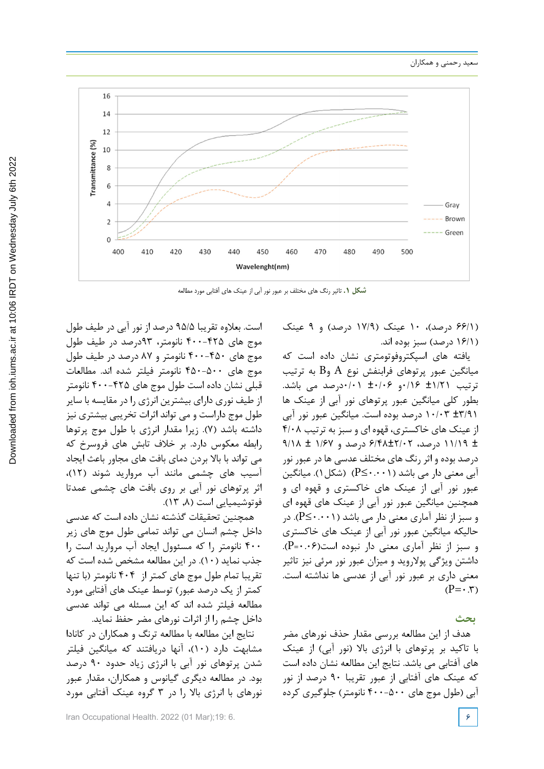

**شکل .1** تاثیر رنگ های مختلف بر عبور نور آبی از عینک های آفتابی مورد مطالعه

)66/1 درصد(، 10 عینک )17/9 درصد( و 9 عینک )16/1 درصد( سبز بوده اند.

یافته های اسپکتروفوتومتری نشان داده است که میانگین عبور پرتوهای فرابنفش نوع A وB به ترتیب ترتیب ±1/21 0/16و ±0/06 0/01درصد می باشد. بطور کلی میانگین عبور پرتوهای نور آبی از عینک ها ±3/91 10/03 درصد بوده است. میانگین عبور نور آبی از عینک های خاکستری، قهوه ای و سبز به ترتیب 4/08 ± 11/19 درصد، 6/48±2/02 درصد و 1/67 ± 9/18 درصد بوده و اثر رنگ های مختلف عدسی ها در عبور نور آبی معنی دار می باشد (0.001≥P( (شکل1(. میانگین عبور نور آبی از عینک های خاکستری و قهوه ای و همچنین میانگین عبور نور آبی از عینک های قهوه ای و سبز از نظر آماری معنی دار می باشد (0.001≥P(. در حالیکه میانگین عبور نور آبی از عینک های خاکستری و سبز از نظر آماری معنی دار نبوده است(0.06=P(. داشتن ویژگی پوالروید و میزان عبور نور مرئی نیز تاثیر معنی داری بر عبور نور آبی از عدسی ها نداشته است.  $(P=\cdot, \tau)$ 

## **بحث**

هدف از این مطالعه بررسی مقدار حذف نورهای مضر با تاکید بر پرتوهای با انرژی بالا (نور آبی) از عینک های آفتابی می باشد. نتایج این مطالعه نشان داده است که عینک های آفتابی از عبور تقریبا 90 درصد از نور آبی )طول موج های 400-500 نانومتر( جلوگیری کرده

است. بعالوه تقریبا 95/5 درصد از نور آبی در طیف طول موج های 400-425 نانومتر، 93درصد در طیف طول موج های 400-450 نانومتر و 87 درصد در طیف طول موج های 450-500 نانومتر فیلتر شده اند. مطالعات قبلی نشان داده است طول موج های 400-425 نانومتر از طیف نوری دارای بیشترین انرژی را در مقایسه با سایر طول موج داراست و می تواند اثرات تخریبی بیشتری نیز داشته باشد )7(. زیرا مقدار انرژی با طول موج پرتوها رابطه معکوس دارد. بر خالف تابش های فروسرخ که می تواند با باال بردن دمای بافت های مجاور باعث ایجاد آسیب های چشمی مانند آب مروارید شوند )12(، اثر پرتوهای نور آبی بر روی بافت های چشمی عمدتا فوتوشیمیایی است ),8 13(.

همچنین تحقیقات گذشته نشان داده است که عدسی داخل چشم انسان می تواند تمامی طول موج های زیر 400 نانومتر را که مسئوول ایجاد آب مروارید است را جذب نماید )10(. در این مطالعه مشخص شده است که تقریبا تمام طول موج های کمتر از 404 نانومتر )با تنها کمتر از یک درصد عبور( توسط عینک های آفتابی مورد مطالعه فیلتر شده اند که این مسئله می تواند عدسی داخل چشم را از اثرات نورهای مضر حفظ نماید.

نتایج این مطالعه با مطالعه ترنگ و همکاران در کانادا مشابهت دارد )10(، آنها دریافتند که میانگین فیلتر شدن پرتوهای نور آبی با انرژی زیاد حدود 90 درصد بود. در مطالعه دیگری گیانوس و همکاران، مقدار عبور نورهای با انرژی باال را در 3 گروه عینک آفتابی مورد

Iran Occupational Health. 2022 (01 Mar);19: 6. **6**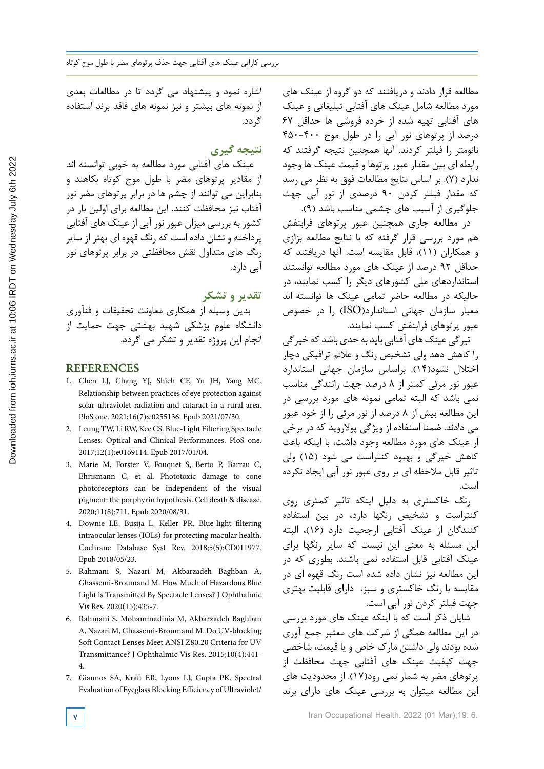مطالعه قرار دادند و دریافتند که دو گروه از عینک های مورد مطالعه شامل عینک های آفتابی تبلیغاتی و عینک های آفتابی تهیه شده از خرده فروشی ها حداقل 67 درصد از پرتوهای نور آبی را در طول موج 450-400 نانومتر را فیلتر کردند. آنها همچنین نتیجه گرفتند که رابطه ای بین مقدار عبور پرتوها و قیمت عینک ها وجود ندارد )7(. بر اساس نتایج مطالعات فوق به نظر می رسد که مقدار فیلتر کردن 90 درصدی از نور آبی جهت جلوگیری از آسیب های چشمی مناسب باشد )9(.

در مطالعه جاری همچنین عبور پرتوهای فرابنفش هم مورد بررسی قرار گرفته که با نتایج مطالعه بزازی و همکاران )11(، قابل مقایسه است. آنها دریافتند که حداقل 92 درصد از عینک های مورد مطالعه توانستند استانداردهای ملی کشورهای دیگر را کسب نمایند، در حالیکه در مطالعه حاضر تمامی عینک ها توانسته اند معیار سازمان جهانی استاندارد(ISO (را در خصوص عبور پرتوهای فرابنفش کسب نمایند.

تیرگی عینک های آفتابی باید به حدی باشد که خیرگی را کاهش دهد ولی تشخیص رنگ و عالئم ترافیکی دچار اختالل نشود)14(. براساس سازمان جهانی استاندارد عبور نور مرئی کمتر از 8 درصد جهت رانندگی مناسب نمی باشد که البته تمامی نمونه های مورد بررسی در این مطالعه بیش از 8 درصد از نور مرئی را از خود عبور می دادند. ضمنا استفاده از ویژگی پوالروید که در برخی از عینک های مورد مطالعه وجود داشت، با اینکه باعث کاهش خیرگی و بهبود کنتراست می شود )15( ولی تاثیر قابل مالحظه ای بر روی عبور نور آبی ایجاد نکرده است.

رنگ خاکستری به دلیل اینکه تاثیر کمتری روی کنتراست و تشخیص رنگها دارد، در بین استفاده کنندگان از عینک آفتابی ارجحیت دارد )16(، البته این مسئله به معنی این نیست که سایر رنگها برای عینک آفتابی قابل استفاده نمی باشند. بطوری که در این مطالعه نیز نشان داده شده است رنگ قهوه ای در مقایسه با رنگ خاکستری و سبز، دارای قابلیت بهتری جهت فیلتر کردن نور آبی است.

شایان ذکر است که با اینکه عینک های مورد بررسی در این مطالعه همگی از شرکت های معتبر جمع آوری شده بودند ولی داشتن مارک خاص و یا قیمت، شاخصی جهت کیفیت عینک های آفتابی جهت محافظت از پرتوهای مضر به شمار نمی رود)17(. از محدودیت های این مطالعه میتوان به بررسی عینک های دارای برند

اشاره نمود و پیشنهاد می گردد تا در مطالعات بعدی از نمونه های بیشتر و نیز نمونه های فاقد برند استفاده گردد.

# **نتیجه گیری**

عینک های آفتابی مورد مطالعه به خوبی توانسته اند از مقادیر پرتوهای مضر با طول موج کوتاه بکاهند و بنابراین می توانند از چشم ها در برابر پرتوهای مضر نور آفتاب نیز محافظت کنند. این مطالعه برای اولین بار در کشور به بررسی میزان عبور نور آبی از عینک های آفتابی پرداخته و نشان داده است که رنگ قهوه ای بهتر از سایر رنگ های متداول نقش محافظتی در برابر پرتوهای نور آبی دارد.

# **تقدیر و تشکر**

 بدین وسیله از همکاری معاونت تحقیقات و فنآوری دانشگاه علوم پزشکی شهید بهشتی جهت حمایت از انجام این پروژه تقدیر و تشکر می گردد.

### **REFERENCES**

- 1. Chen LJ, Chang YJ, Shieh CF, Yu JH, Yang MC. Relationship between practices of eye protection against solar ultraviolet radiation and cataract in a rural area. PloS one. 2021;16(7):e0255136. Epub 2021/07/30.
- 2. Leung TW, Li RW, Kee CS. Blue-Light Filtering Spectacle Lenses: Optical and Clinical Performances. PloS one. 2017;12(1):e0169114. Epub 2017/01/04.
- 3. Marie M, Forster V, Fouquet S, Berto P, Barrau C, Ehrismann C, et al. Phototoxic damage to cone photoreceptors can be independent of the visual pigment: the porphyrin hypothesis. Cell death & disease. 2020;11(8):711. Epub 2020/08/31.
- 4. Downie LE, Busija L, Keller PR. Blue-light filtering intraocular lenses (IOLs) for protecting macular health. Cochrane Database Syst Rev. 2018;5(5):CD011977. Epub 2018/05/23.
- 5. Rahmani S, Nazari M, Akbarzadeh Baghban A, Ghassemi-Broumand M. How Much of Hazardous Blue Light is Transmitted By Spectacle Lenses? J Ophthalmic Vis Res. 2020(15):435-7.
- 6. Rahmani S, Mohammadinia M, Akbarzadeh Baghban A, Nazari M, Ghassemi-Broumand M. Do UV-blocking Soft Contact Lenses Meet ANSI Z80.20 Criteria for UV Transmittance? J Ophthalmic Vis Res. 2015;10(4):441- 4.
- 7. Giannos SA, Kraft ER, Lyons LJ, Gupta PK. Spectral Evaluation of Eyeglass Blocking Efficiency of Ultraviolet/